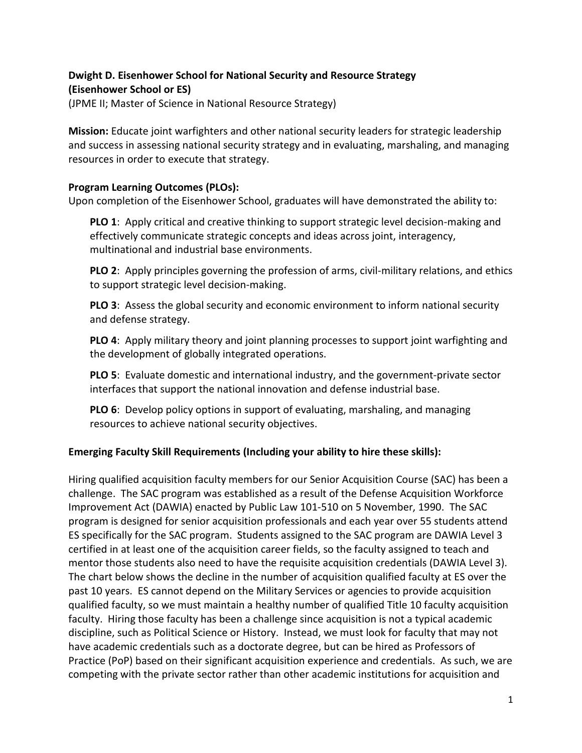# **Dwight D. Eisenhower School for National Security and Resource Strategy (Eisenhower School or ES)**

(JPME II; Master of Science in National Resource Strategy)

**Mission:** Educate joint warfighters and other national security leaders for strategic leadership and success in assessing national security strategy and in evaluating, marshaling, and managing resources in order to execute that strategy.

### **Program Learning Outcomes (PLOs):**

Upon completion of the Eisenhower School, graduates will have demonstrated the ability to:

**PLO 1**: Apply critical and creative thinking to support strategic level decision-making and effectively communicate strategic concepts and ideas across joint, interagency, multinational and industrial base environments.

**PLO 2**: Apply principles governing the profession of arms, civil-military relations, and ethics to support strategic level decision-making.

**PLO 3**: Assess the global security and economic environment to inform national security and defense strategy.

**PLO 4**: Apply military theory and joint planning processes to support joint warfighting and the development of globally integrated operations.

**PLO 5**: Evaluate domestic and international industry, and the government-private sector interfaces that support the national innovation and defense industrial base.

**PLO 6**: Develop policy options in support of evaluating, marshaling, and managing resources to achieve national security objectives.

## **Emerging Faculty Skill Requirements (Including your ability to hire these skills):**

Hiring qualified acquisition faculty members for our Senior Acquisition Course (SAC) has been a challenge. The SAC program was established as a result of the Defense Acquisition Workforce Improvement Act (DAWIA) enacted by Public Law 101-510 on 5 November, 1990. The SAC program is designed for senior acquisition professionals and each year over 55 students attend ES specifically for the SAC program. Students assigned to the SAC program are DAWIA Level 3 certified in at least one of the acquisition career fields, so the faculty assigned to teach and mentor those students also need to have the requisite acquisition credentials (DAWIA Level 3). The chart below shows the decline in the number of acquisition qualified faculty at ES over the past 10 years. ES cannot depend on the Military Services or agencies to provide acquisition qualified faculty, so we must maintain a healthy number of qualified Title 10 faculty acquisition faculty. Hiring those faculty has been a challenge since acquisition is not a typical academic discipline, such as Political Science or History. Instead, we must look for faculty that may not have academic credentials such as a doctorate degree, but can be hired as Professors of Practice (PoP) based on their significant acquisition experience and credentials. As such, we are competing with the private sector rather than other academic institutions for acquisition and